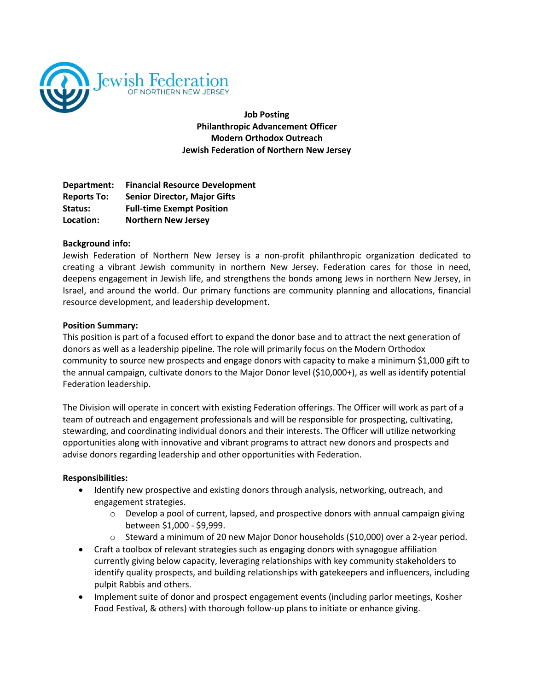

**Job Posting Philanthropic Advancement Officer Modern Orthodox Outreach Jewish Federation of Northern New Jersey**

**Department: Financial Resource Development Reports To: Senior Director, Major Gifts Status: Full-time Exempt Position Location: Northern New Jersey**

# **Background info:**

Jewish Federation of Northern New Jersey is a non-profit philanthropic organization dedicated to creating a vibrant Jewish community in northern New Jersey. Federation cares for those in need, deepens engagement in Jewish life, and strengthens the bonds among Jews in northern New Jersey, in Israel, and around the world. Our primary functions are community planning and allocations, financial resource development, and leadership development.

## **Position Summary:**

This position is part of a focused effort to expand the donor base and to attract the next generation of donors as well as a leadership pipeline. The role will primarily focus on the Modern Orthodox community to source new prospects and engage donors with capacity to make a minimum \$1,000 gift to the annual campaign, cultivate donors to the Major Donor level (\$10,000+), as well as identify potential Federation leadership.

The Division will operate in concert with existing Federation offerings. The Officer will work as part of a team of outreach and engagement professionals and will be responsible for prospecting, cultivating, stewarding, and coordinating individual donors and their interests. The Officer will utilize networking opportunities along with innovative and vibrant programs to attract new donors and prospects and advise donors regarding leadership and other opportunities with Federation.

# **Responsibilities:**

- Identify new prospective and existing donors through analysis, networking, outreach, and engagement strategies.
	- $\circ$  Develop a pool of current, lapsed, and prospective donors with annual campaign giving between \$1,000 - \$9,999.
	- $\circ$  Steward a minimum of 20 new Major Donor households (\$10,000) over a 2-year period.
- Craft a toolbox of relevant strategies such as engaging donors with synagogue affiliation currently giving below capacity, leveraging relationships with key community stakeholders to identify quality prospects, and building relationships with gatekeepers and influencers, including pulpit Rabbis and others.
- Implement suite of donor and prospect engagement events (including parlor meetings, Kosher Food Festival, & others) with thorough follow-up plans to initiate or enhance giving.